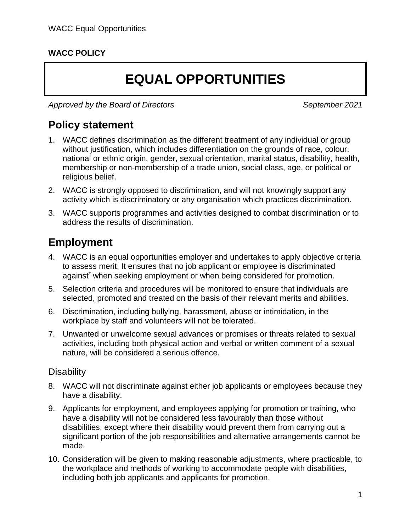#### **WACC POLICY**

# **EQUAL OPPORTUNITIES**

*Approved by the Board of Directors September 2021*

### **Policy statement**

- 1. WACC defines discrimination as the different treatment of any individual or group without justification, which includes differentiation on the grounds of race, colour, national or ethnic origin, gender, sexual orientation, marital status, disability, health, membership or non-membership of a trade union, social class, age, or political or religious belief.
- 2. WACC is strongly opposed to discrimination, and will not knowingly support any activity which is discriminatory or any organisation which practices discrimination.
- 3. WACC supports programmes and activities designed to combat discrimination or to address the results of discrimination.

## **Employment**

- 4. WACC is an equal opportunities employer and undertakes to apply objective criteria to assess merit. It ensures that no job applicant or employee is discriminated against<sup>\*</sup> when seeking employment or when being considered for promotion.
- 5. Selection criteria and procedures will be monitored to ensure that individuals are selected, promoted and treated on the basis of their relevant merits and abilities.
- 6. Discrimination, including bullying, harassment, abuse or intimidation, in the workplace by staff and volunteers will not be tolerated.
- 7. Unwanted or unwelcome sexual advances or promises or threats related to sexual activities, including both physical action and verbal or written comment of a sexual nature, will be considered a serious offence.

#### **Disability**

- 8. WACC will not discriminate against either job applicants or employees because they have a disability.
- 9. Applicants for employment, and employees applying for promotion or training, who have a disability will not be considered less favourably than those without disabilities, except where their disability would prevent them from carrying out a significant portion of the job responsibilities and alternative arrangements cannot be made.
- 10. Consideration will be given to making reasonable adjustments, where practicable, to the workplace and methods of working to accommodate people with disabilities, including both job applicants and applicants for promotion.